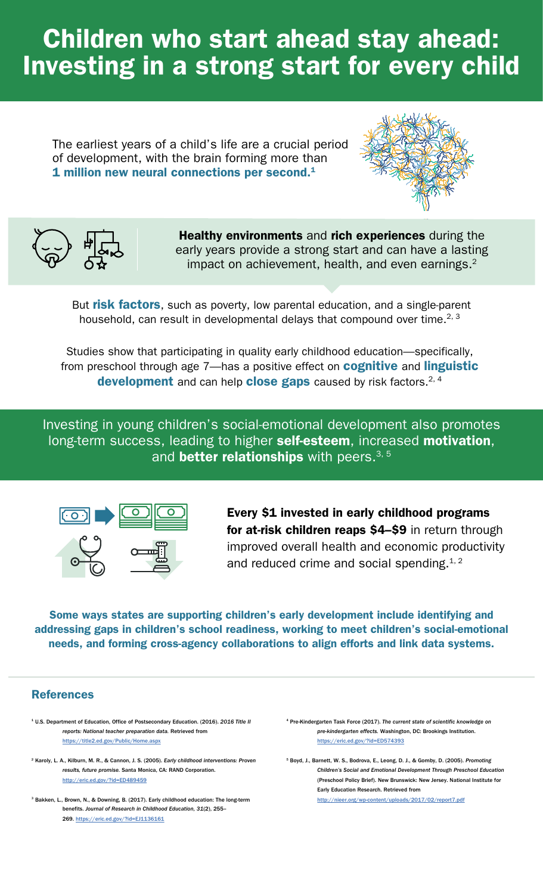# Children who start ahead stay ahead: Investing in a strong start for every child

The earliest years of a child's life are a crucial period of development, with the brain forming more than 1 million new neural connections per second.<sup>1</sup>





Healthy environments and rich experiences during the early years provide a strong start and can have a lasting impact on achievement, health, and even earnings.<sup>2</sup>

But risk factors, such as poverty, low parental education, and a single-parent household, can result in developmental delays that compound over time.<sup>2, 3</sup>

Studies show that participating in quality early childhood education—specifically, from preschool through age 7—has a positive effect on **cognitive** and *linguistic* development and can help close gaps caused by risk factors.<sup>2, 4</sup>

Investing in young children's social-emotional development also promotes long-term success, leading to higher self-esteem, increased motivation, and **better relationships** with peers.<sup>3, 5</sup>



Every \$1 invested in early childhood programs for at-risk children reaps \$4-\$9 in return through improved overall health and economic productivity and reduced crime and social spending. $1, 2$ 

Some ways states are supporting children's early development include identifying and addressing gaps in children's school readiness, working to meet children's social-emotional needs, and forming cross-agency collaborations to align efforts and link data systems.

### References

- 1 U.S. Department of Education, Office of Postsecondary Education. (2016). *2016 Title II reports: National teacher preparation data.* Retrieved from [https://title2.ed.gov/Public/Home.aspx](https://title2.ed.gov/public/home.aspx)
- 2 Karoly, L. A., Kilburn, M. R., & Cannon, J. S. (2005). *Early childhood interventions: Proven results, future promise.* Santa Monica, CA: RAND Corporation. <http://eric.ed.gov/?id=ED489459>
- 3 Bakken, L., Brown, N., & Downing, B. (2017). Early childhood education: The long-term benefits. *Journal of Research in Childhood Education, 31*(2), 255– 269.<https://eric.ed.gov/?id=EJ1136161>
- 4 Pre-Kindergarten Task Force (2017). *The current state of scienti*fi*c knowledge on pre-kindergarten effects.* Washington, DC: Brookings Institution. <https://eric.ed.gov/?id=ED574393>

5 Boyd, J., Barnett, W. S., Bodrova, E., Leong, D. J., & Gomby, D. (2005). *Promoting Children's Social and Emotional Development Through Preschool Education*  (Preschool Policy Brief). New Brunswick: New Jersey. National Institute for Early Education Research. Retrieved from <http://nieer.org/wp-content/uploads/2017/02/report7.pdf>